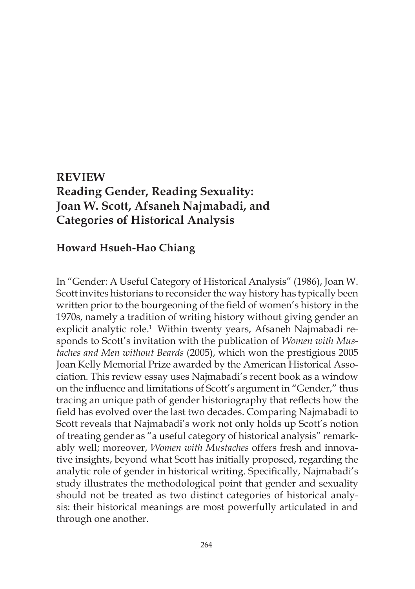# **REVIEW Reading Gender, Reading Sexuality: Joan W. Scott, Afsaneh Najmabadi, and Categories of Historical Analysis**

# **Howard Hsueh-Hao Chiang**

In "Gender: A Useful Category of Historical Analysis" (1986), Joan W. Scott invites historians to reconsider the way history has typically been written prior to the bourgeoning of the field of women's history in the 1970s, namely a tradition of writing history without giving gender an explicit analytic role.<sup>1</sup> Within twenty years, Afsaneh Najmabadi responds to Scott's invitation with the publication of *Women with Mustaches and Men without Beards* (2005), which won the prestigious 2005 Joan Kelly Memorial Prize awarded by the American Historical Association. This review essay uses Najmabadi's recent book as a window on the influence and limitations of Scott's argument in "Gender," thus tracing an unique path of gender historiography that reflects how the field has evolved over the last two decades. Comparing Najmabadi to Scott reveals that Najmabadi's work not only holds up Scott's notion of treating gender as "a useful category of historical analysis" remarkably well; moreover, *Women with Mustaches* offers fresh and innovative insights, beyond what Scott has initially proposed, regarding the analytic role of gender in historical writing. Specifically, Najmabadi's study illustrates the methodological point that gender and sexuality should not be treated as two distinct categories of historical analysis: their historical meanings are most powerfully articulated in and through one another.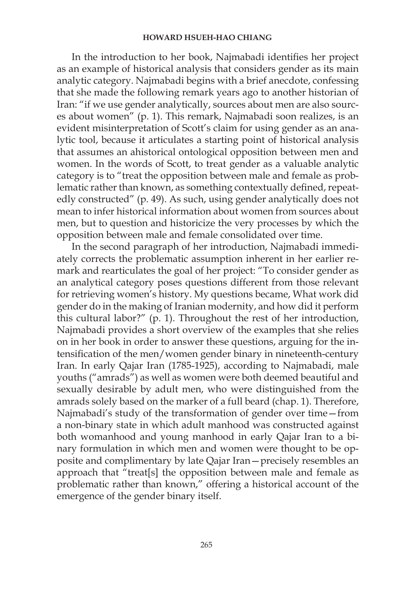# **HOWARD HSUEH-HAO CHIANG**

In the introduction to her book, Najmabadi identifies her project as an example of historical analysis that considers gender as its main analytic category. Najmabadi begins with a brief anecdote, confessing that she made the following remark years ago to another historian of Iran: "if we use gender analytically, sources about men are also sources about women" (p. 1). This remark, Najmabadi soon realizes, is an evident misinterpretation of Scott's claim for using gender as an analytic tool, because it articulates a starting point of historical analysis that assumes an ahistorical ontological opposition between men and women. In the words of Scott, to treat gender as a valuable analytic category is to "treat the opposition between male and female as problematic rather than known, as something contextually defined, repeatedly constructed" (p. 49). As such, using gender analytically does not mean to infer historical information about women from sources about men, but to question and historicize the very processes by which the opposition between male and female consolidated over time.

In the second paragraph of her introduction, Najmabadi immediately corrects the problematic assumption inherent in her earlier remark and rearticulates the goal of her project: "To consider gender as an analytical category poses questions different from those relevant for retrieving women's history. My questions became, What work did gender do in the making of Iranian modernity, and how did it perform this cultural labor?" (p. 1). Throughout the rest of her introduction, Najmabadi provides a short overview of the examples that she relies on in her book in order to answer these questions, arguing for the intensification of the men/women gender binary in nineteenth-century Iran. In early Qajar Iran (1785-1925), according to Najmabadi, male youths ("amrads") as well as women were both deemed beautiful and sexually desirable by adult men, who were distinguished from the amrads solely based on the marker of a full beard (chap. 1). Therefore, Najmabadi's study of the transformation of gender over time—from a non-binary state in which adult manhood was constructed against both womanhood and young manhood in early Qajar Iran to a binary formulation in which men and women were thought to be opposite and complimentary by late Qajar Iran—precisely resembles an approach that "treat[s] the opposition between male and female as problematic rather than known," offering a historical account of the emergence of the gender binary itself.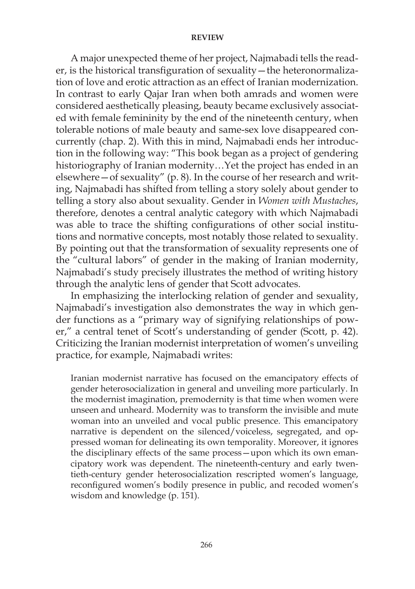#### **REVIEW**

A major unexpected theme of her project, Najmabadi tells the reader, is the historical transfiguration of sexuality—the heteronormalization of love and erotic attraction as an effect of Iranian modernization. In contrast to early Qajar Iran when both amrads and women were considered aesthetically pleasing, beauty became exclusively associated with female femininity by the end of the nineteenth century, when tolerable notions of male beauty and same-sex love disappeared concurrently (chap. 2). With this in mind, Najmabadi ends her introduction in the following way: "This book began as a project of gendering historiography of Iranian modernity…Yet the project has ended in an elsewhere—of sexuality" (p. 8). In the course of her research and writing, Najmabadi has shifted from telling a story solely about gender to telling a story also about sexuality. Gender in *Women with Mustaches*, therefore, denotes a central analytic category with which Najmabadi was able to trace the shifting configurations of other social institutions and normative concepts, most notably those related to sexuality. By pointing out that the transformation of sexuality represents one of the "cultural labors" of gender in the making of Iranian modernity, Najmabadi's study precisely illustrates the method of writing history through the analytic lens of gender that Scott advocates.

In emphasizing the interlocking relation of gender and sexuality, Najmabadi's investigation also demonstrates the way in which gender functions as a "primary way of signifying relationships of power," a central tenet of Scott's understanding of gender (Scott, p. 42). Criticizing the Iranian modernist interpretation of women's unveiling practice, for example, Najmabadi writes:

Iranian modernist narrative has focused on the emancipatory effects of gender heterosocialization in general and unveiling more particularly. In the modernist imagination, premodernity is that time when women were unseen and unheard. Modernity was to transform the invisible and mute woman into an unveiled and vocal public presence. This emancipatory narrative is dependent on the silenced/voiceless, segregated, and oppressed woman for delineating its own temporality. Moreover, it ignores the disciplinary effects of the same process—upon which its own emancipatory work was dependent. The nineteenth-century and early twentieth-century gender heterosocialization rescripted women's language, reconfigured women's bodily presence in public, and recoded women's wisdom and knowledge (p. 151).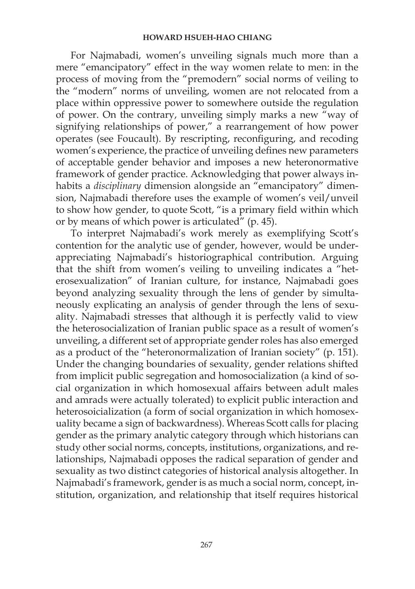For Najmabadi, women's unveiling signals much more than a mere "emancipatory" effect in the way women relate to men: in the process of moving from the "premodern" social norms of veiling to the "modern" norms of unveiling, women are not relocated from a place within oppressive power to somewhere outside the regulation of power. On the contrary, unveiling simply marks a new "way of signifying relationships of power," a rearrangement of how power operates (see Foucault). By rescripting, reconfiguring, and recoding women's experience, the practice of unveiling defines new parameters of acceptable gender behavior and imposes a new heteronormative framework of gender practice. Acknowledging that power always inhabits a *disciplinary* dimension alongside an "emancipatory" dimension, Najmabadi therefore uses the example of women's veil/unveil to show how gender, to quote Scott, "is a primary field within which or by means of which power is articulated" (p. 45).

To interpret Najmabadi's work merely as exemplifying Scott's contention for the analytic use of gender, however, would be underappreciating Najmabadi's historiographical contribution. Arguing that the shift from women's veiling to unveiling indicates a "heterosexualization" of Iranian culture, for instance, Najmabadi goes beyond analyzing sexuality through the lens of gender by simultaneously explicating an analysis of gender through the lens of sexuality. Najmabadi stresses that although it is perfectly valid to view the heterosocialization of Iranian public space as a result of women's unveiling, a different set of appropriate gender roles has also emerged as a product of the "heteronormalization of Iranian society" (p. 151). Under the changing boundaries of sexuality, gender relations shifted from implicit public segregation and homosocialization (a kind of social organization in which homosexual affairs between adult males and amrads were actually tolerated) to explicit public interaction and heterosoicialization (a form of social organization in which homosexuality became a sign of backwardness). Whereas Scott calls for placing gender as the primary analytic category through which historians can study other social norms, concepts, institutions, organizations, and relationships, Najmabadi opposes the radical separation of gender and sexuality as two distinct categories of historical analysis altogether. In Najmabadi's framework, gender is as much a social norm, concept, institution, organization, and relationship that itself requires historical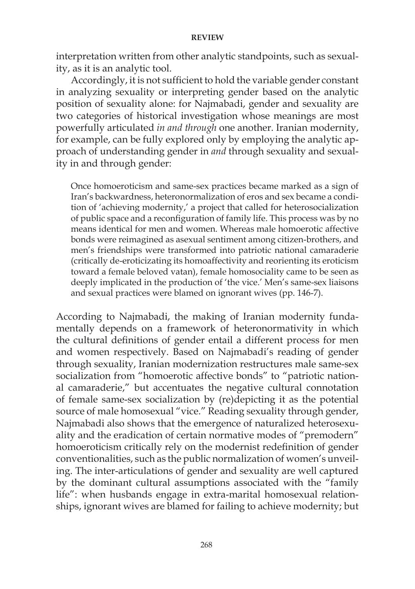### **REVIEW**

interpretation written from other analytic standpoints, such as sexuality, as it is an analytic tool.

Accordingly, it is not sufficient to hold the variable gender constant in analyzing sexuality or interpreting gender based on the analytic position of sexuality alone: for Najmabadi, gender and sexuality are two categories of historical investigation whose meanings are most powerfully articulated *in and through* one another. Iranian modernity, for example, can be fully explored only by employing the analytic approach of understanding gender in *and* through sexuality and sexuality in and through gender:

Once homoeroticism and same-sex practices became marked as a sign of Iran's backwardness, heteronormalization of eros and sex became a condition of 'achieving modernity,' a project that called for heterosocialization of public space and a reconfiguration of family life. This process was by no means identical for men and women. Whereas male homoerotic affective bonds were reimagined as asexual sentiment among citizen-brothers, and men's friendships were transformed into patriotic national camaraderie (critically de-eroticizating its homoaffectivity and reorienting its eroticism toward a female beloved vatan), female homosociality came to be seen as deeply implicated in the production of 'the vice.' Men's same-sex liaisons and sexual practices were blamed on ignorant wives (pp. 146-7).

According to Najmabadi, the making of Iranian modernity fundamentally depends on a framework of heteronormativity in which the cultural definitions of gender entail a different process for men and women respectively. Based on Najmabadi's reading of gender through sexuality, Iranian modernization restructures male same-sex socialization from "homoerotic affective bonds" to "patriotic national camaraderie," but accentuates the negative cultural connotation of female same-sex socialization by (re)depicting it as the potential source of male homosexual "vice." Reading sexuality through gender, Najmabadi also shows that the emergence of naturalized heterosexuality and the eradication of certain normative modes of "premodern" homoeroticism critically rely on the modernist redefinition of gender conventionalities, such as the public normalization of women's unveiling. The inter-articulations of gender and sexuality are well captured by the dominant cultural assumptions associated with the "family life": when husbands engage in extra-marital homosexual relationships, ignorant wives are blamed for failing to achieve modernity; but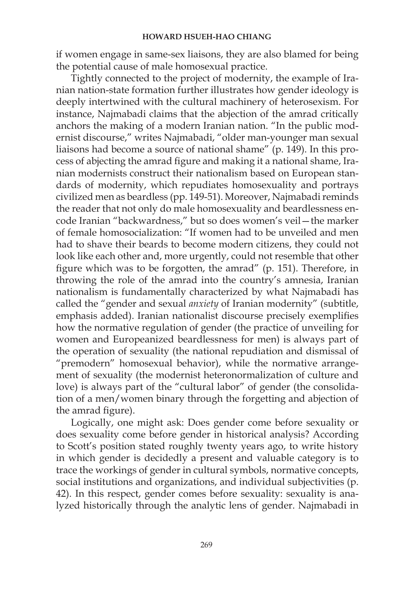if women engage in same-sex liaisons, they are also blamed for being the potential cause of male homosexual practice.

Tightly connected to the project of modernity, the example of Iranian nation-state formation further illustrates how gender ideology is deeply intertwined with the cultural machinery of heterosexism. For instance, Najmabadi claims that the abjection of the amrad critically anchors the making of a modern Iranian nation. "In the public modernist discourse," writes Najmabadi, "older man-younger man sexual liaisons had become a source of national shame" (p. 149). In this process of abjecting the amrad figure and making it a national shame, Iranian modernists construct their nationalism based on European standards of modernity, which repudiates homosexuality and portrays civilized men as beardless (pp. 149-51). Moreover, Najmabadi reminds the reader that not only do male homosexuality and beardlessness encode Iranian "backwardness," but so does women's veil—the marker of female homosocialization: "If women had to be unveiled and men had to shave their beards to become modern citizens, they could not look like each other and, more urgently, could not resemble that other figure which was to be forgotten, the amrad" (p. 151). Therefore, in throwing the role of the amrad into the country's amnesia, Iranian nationalism is fundamentally characterized by what Najmabadi has called the "gender and sexual *anxiety* of Iranian modernity" (subtitle, emphasis added). Iranian nationalist discourse precisely exemplifies how the normative regulation of gender (the practice of unveiling for women and Europeanized beardlessness for men) is always part of the operation of sexuality (the national repudiation and dismissal of "premodern" homosexual behavior), while the normative arrangement of sexuality (the modernist heteronormalization of culture and love) is always part of the "cultural labor" of gender (the consolidation of a men/women binary through the forgetting and abjection of the amrad figure).

Logically, one might ask: Does gender come before sexuality or does sexuality come before gender in historical analysis? According to Scott's position stated roughly twenty years ago, to write history in which gender is decidedly a present and valuable category is to trace the workings of gender in cultural symbols, normative concepts, social institutions and organizations, and individual subjectivities (p. 42). In this respect, gender comes before sexuality: sexuality is analyzed historically through the analytic lens of gender. Najmabadi in